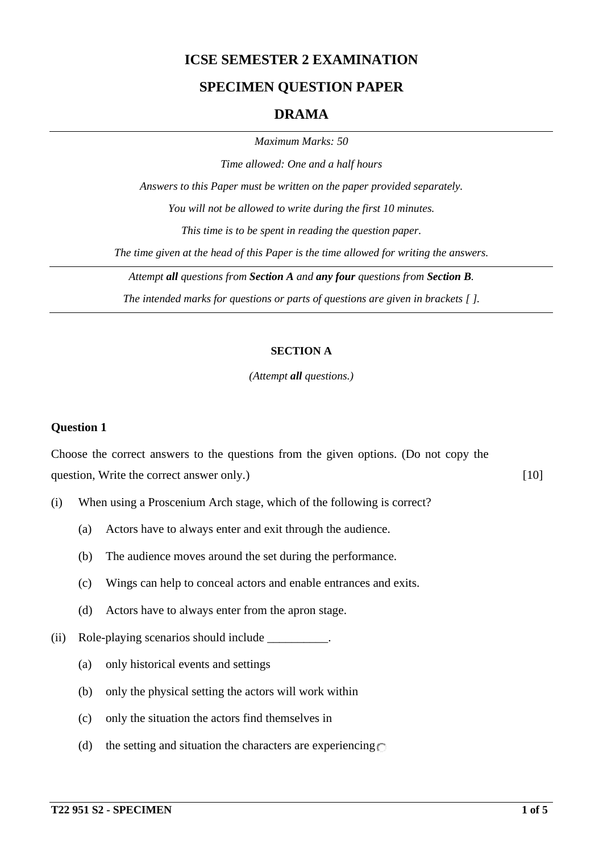## **ICSE SEMESTER 2 EXAMINATION**

### **SPECIMEN QUESTION PAPER**

### **DRAMA**

*Maximum Marks: 50*

*Time allowed: One and a half hours Answers to this Paper must be written on the paper provided separately. You will not be allowed to write during the first 10 minutes. This time is to be spent in reading the question paper. The time given at the head of this Paper is the time allowed for writing the answers. Attempt all questions from Section A and any four questions from Section B.*

*The intended marks for questions or parts of questions are given in brackets [ ].*

#### **SECTION A**

#### *(Attempt all questions.)*

#### **Question 1**

Choose the correct answers to the questions from the given options. (Do not copy the question, Write the correct answer only.) [10]

- (i) When using a Proscenium Arch stage, which of the following is correct?
	- (a) Actors have to always enter and exit through the audience.
	- (b) The audience moves around the set during the performance.
	- (c) Wings can help to conceal actors and enable entrances and exits.
	- (d) Actors have to always enter from the apron stage.
- (ii) Role-playing scenarios should include \_\_\_\_\_\_\_\_\_\_.
	- (a) only historical events and settings
	- (b) only the physical setting the actors will work within
	- (c) only the situation the actors find themselves in
	- (d) the setting and situation the characters are experiencing  $\bigcap$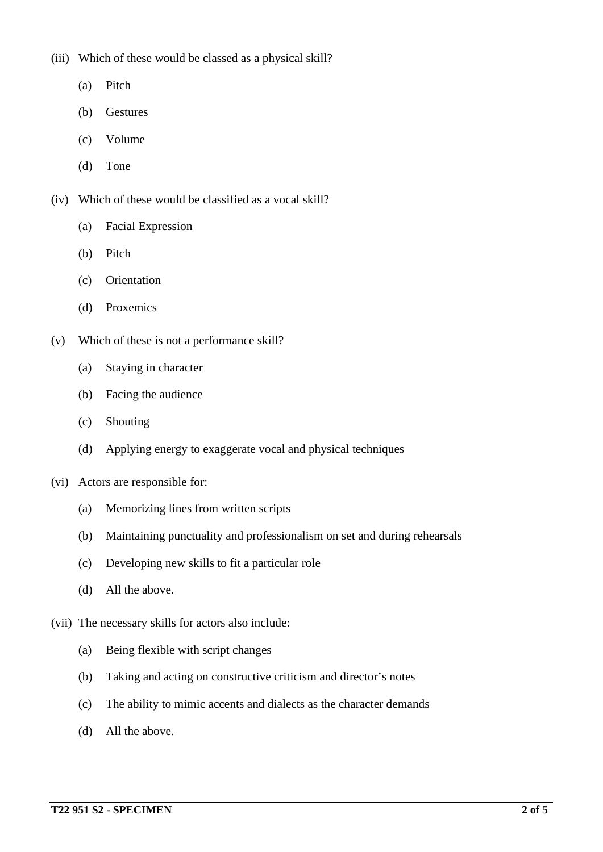(iii) Which of these would be classed as a physical skill?

- (a) Pitch
- (b) Gestures
- (c) Volume
- (d) Tone

(iv) Which of these would be classified as a vocal skill?

- (a) Facial Expression
- (b) Pitch
- (c) Orientation
- (d) Proxemics
- (v) Which of these is not a performance skill?
	- (a) Staying in character
	- (b) Facing the audience
	- (c) Shouting
	- (d) Applying energy to exaggerate vocal and physical techniques
- (vi) Actors are responsible for:
	- (a) Memorizing lines from written scripts
	- (b) Maintaining punctuality and professionalism on set and during rehearsals
	- (c) Developing new skills to fit a particular role
	- (d) All the above.
- (vii) The necessary skills for actors also include:
	- (a) Being flexible with script changes
	- (b) Taking and acting on constructive criticism and director's notes
	- (c) The ability to mimic accents and dialects as the character demands
	- (d) All the above.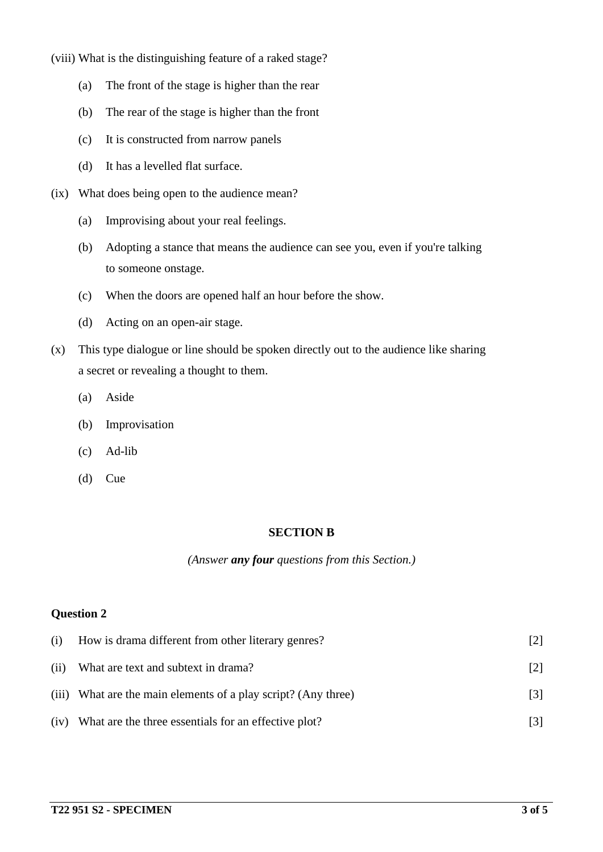(viii) What is the distinguishing feature of a raked stage?

- (a) The front of the stage is higher than the rear
- (b) The rear of the stage is higher than the front
- (c) It is constructed from narrow panels
- (d) It has a levelled flat surface.
- (ix) What does being open to the audience mean?
	- (a) Improvising about your real feelings.
	- (b) Adopting a stance that means the audience can see you, even if you're talking to someone onstage.
	- (c) When the doors are opened half an hour before the show.
	- (d) Acting on an open-air stage.
- (x) This type dialogue or line should be spoken directly out to the audience like sharing a secret or revealing a thought to them.
	- (a) Aside
	- (b) Improvisation
	- (c) Ad-lib
	- (d) Cue

#### **SECTION B**

#### *(Answer any four questions from this Section.)*

#### **Question 2**

| (i)  | How is drama different from other literary genres?             |                   |
|------|----------------------------------------------------------------|-------------------|
| (ii) | What are text and subtext in drama?                            |                   |
|      | (iii) What are the main elements of a play script? (Any three) | $\lceil 3 \rceil$ |
| (iv) | What are the three essentials for an effective plot?           |                   |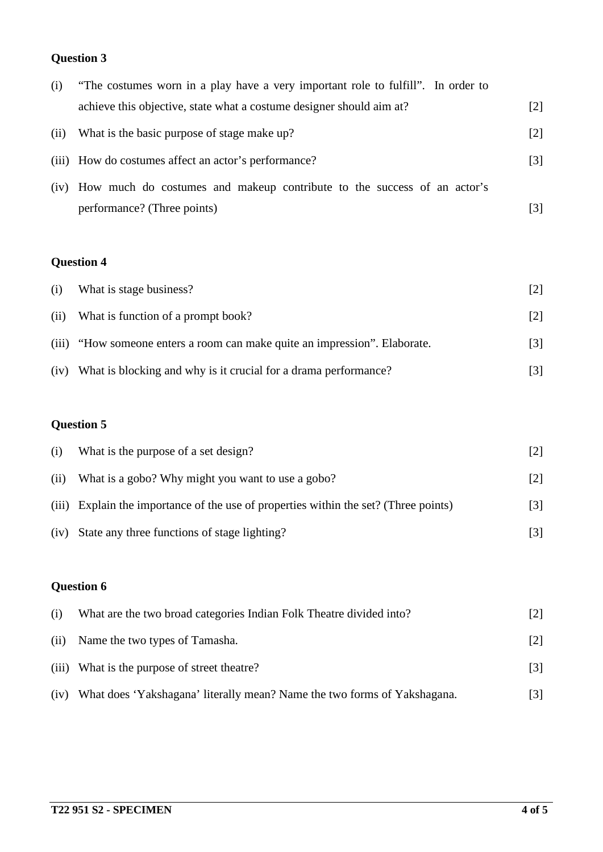# **Question 3**

| (i)  | "The costumes worn in a play have a very important role to fulfill". In order to |       |
|------|----------------------------------------------------------------------------------|-------|
|      | achieve this objective, state what a costume designer should aim at?             | [2]   |
| (ii) | What is the basic purpose of stage make up?                                      | $[2]$ |
|      | (iii) How do costumes affect an actor's performance?                             | [3]   |
|      | (iv) How much do costumes and makeup contribute to the success of an actor's     |       |
|      | performance? (Three points)                                                      | 131   |

# **Question 4**

| (i)  | What is stage business?                                                    | [2]               |
|------|----------------------------------------------------------------------------|-------------------|
| (ii) | What is function of a prompt book?                                         | $\lceil 2 \rceil$ |
|      | (iii) "How someone enters a room can make quite an impression". Elaborate. | $\lceil 3 \rceil$ |
| (iv) | What is blocking and why is it crucial for a drama performance?            | [3]               |

# **Question 5**

| (i)  | What is the purpose of a set design?                                                 | [2] |
|------|--------------------------------------------------------------------------------------|-----|
| (ii) | What is a gobo? Why might you want to use a gobo?                                    | [2] |
|      | (iii) Explain the importance of the use of properties within the set? (Three points) | [3] |
| (iv) | State any three functions of stage lighting?                                         |     |

# **Question 6**

| (i)   | What are the two broad categories Indian Folk Theatre divided into?      | $[2]$             |
|-------|--------------------------------------------------------------------------|-------------------|
| (ii)  | Name the two types of Tamasha.                                           | [2]               |
| (iii) | What is the purpose of street theatre?                                   | $\lceil 3 \rceil$ |
| (iv)  | What does 'Yakshagana' literally mean? Name the two forms of Yakshagana. | $\lceil 3 \rceil$ |